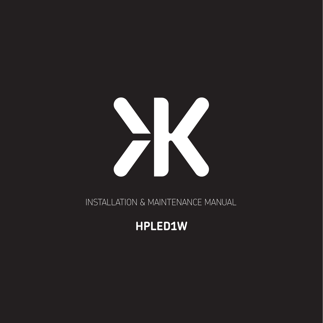# X

INSTALLATION & MAINTENANCE MANUAL

# HPLED1W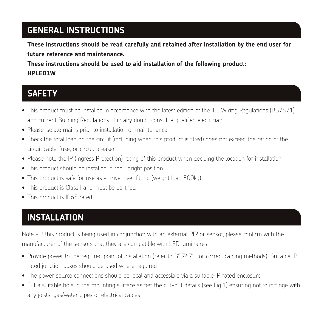# **GENERAL INSTRUCTIONS**

**These instructions should be read carefully and retained after installation by the end user for future reference and maintenance.**

**These instructions should be used to aid installation of the following product: HPLED1W**

#### **SAFETY**

- This product must be installed in accordance with the latest edition of the IEE Wiring Regulations (BS7671) and current Building Regulations. If in any doubt, consult a qualified electrician
- Please isolate mains prior to installation or maintenance
- Check the total load on the circuit (including when this product is fitted) does not exceed the rating of the circuit cable, fuse, or circuit breaker
- Please note the IP (Ingress Protection) rating of this product when deciding the location for installation
- This product should be installed in the upright position
- This product is safe for use as a drive-over fitting (weight load 500kg)
- This product is Class I and must be earthed
- This product is IP65 rated

# **INSTALLATION**

Note - If this product is being used in conjunction with an external PIR or sensor, please confirm with the manufacturer of the sensors that they are compatible with LED luminaires.

- Provide power to the required point of installation (refer to BS7671 for correct cabling methods). Suitable IP rated junction boxes should be used where required
- The power source connections should be local and accessible via a suitable IP rated enclosure
- Cut a suitable hole in the mounting surface as per the cut-out details (see Fig.1) ensuring not to infringe with any joists, gas/water pipes or electrical cables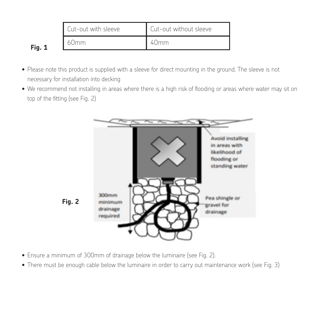|        | Cut-out with sleeve | . Cut-out without sleeve |
|--------|---------------------|--------------------------|
| Fig. 1 | 60mm                | 40 <sub>mm</sub>         |

- . Please note this product is supplied with a sleeve for direct mounting in the ground. The sleeve is not necessary for installation into decking
- We recommend not installing in areas where there is a high risk of flooding or areas where water may sit on top of the fitting (see Fig. 2)



- Ensure a minimum of 300mm of drainage below the luminaire (see Fig. 2).
- Fig. 2 There must be enough cable below the luminaire in order to carry out maintenance work (see Fig. 3)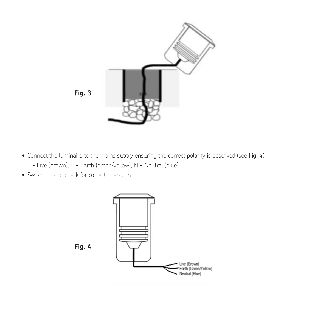

- $\bullet$  Connect the luminaire to the mains supply ensuring the correct polarity is observed (see Fig. 4): L - Live (brown), E - Earth (green/yellow), N - Neutral (blue).
- Connect the luminaire to the mains supply ensuring the correct polarity is observed (see Fig. 4): Switch on and check for correct operation Switch on and check for correct operation L - Live (brown), E - Earth (green/yellow), N - Neutral (blue).



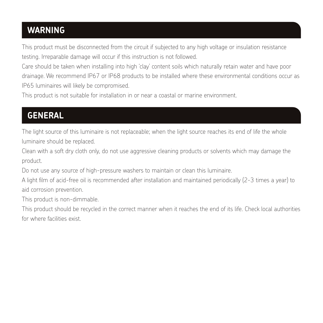## **WARNING**

This product must be disconnected from the circuit if subjected to any high voltage or insulation resistance testing. Irreparable damage will occur if this instruction is not followed.

Care should be taken when installing into high 'clay' content soils which naturally retain water and have poor drainage. We recommend IP67 or IP68 products to be installed where these environmental conditions occur as IP65 luminaires will likely be compromised.

This product is not suitable for installation in or near a coastal or marine environment.

# **GENERAL**

The light source of this luminaire is not replaceable; when the light source reaches its end of life the whole luminaire should be replaced.

Clean with a soft dry cloth only, do not use aggressive cleaning products or solvents which may damage the product.

Do not use any source of high-pressure washers to maintain or clean this luminaire.

A light film of acid-free oil is recommended after installation and maintained periodically (2-3 times a year) to aid corrosion prevention.

This product is non-dimmable.

This product should be recycled in the correct manner when it reaches the end of its life. Check local authorities for where facilities exist.